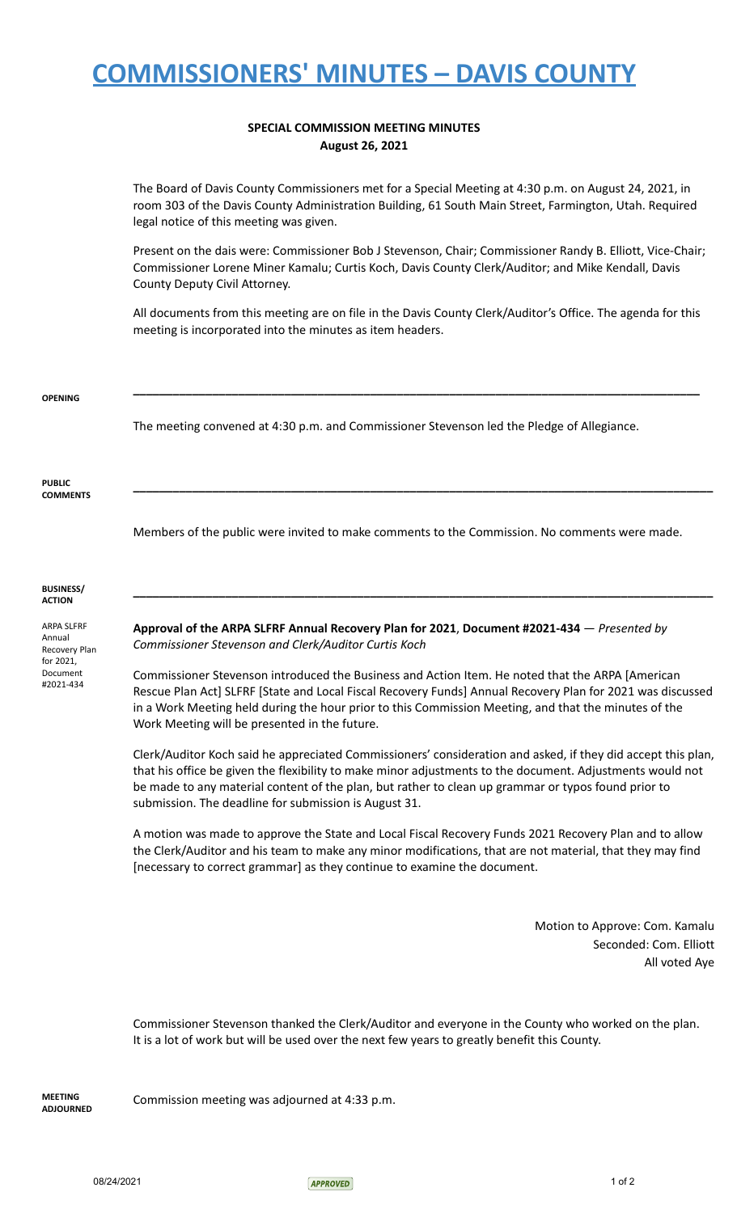## **COMMISSIONERS' MINUTES – DAVIS COUNTY**

## **SPECIAL COMMISSION MEETING MINUTES August 26, 2021**

The Board of Davis County Commissioners met for a Special Meeting at 4:30 p.m. on August 24, 2021, in room 303 of the Davis County Administration Building, 61 South Main Street, Farmington, Utah. Required legal notice of this meeting was given.

Present on the dais were: Commissioner Bob J Stevenson, Chair; Commissioner Randy B. Elliott, Vice-Chair; Commissioner Lorene Miner Kamalu; Curtis Koch, Davis County Clerk/Auditor; and Mike Kendall, Davis County Deputy Civil Attorney.

All documents from this meeting are on file in the Davis County Clerk/Auditor's Office. The agenda for this meeting is incorporated into the minutes as item headers.

**\_\_\_\_\_\_\_\_\_\_\_\_\_\_\_\_\_\_\_\_\_\_\_\_\_\_\_\_\_\_\_\_\_\_\_\_\_\_\_\_\_\_\_\_\_\_\_\_\_\_\_\_\_\_\_\_\_\_\_\_\_\_\_\_\_\_\_\_\_\_\_\_\_\_\_\_\_\_\_\_\_\_\_\_\_\_**

**\_\_\_\_\_\_\_\_\_\_\_\_\_\_\_\_\_\_\_\_\_\_\_\_\_\_\_\_\_\_\_\_\_\_\_\_\_\_\_\_\_\_\_\_\_\_\_\_\_\_\_\_\_\_\_\_\_\_\_\_\_\_\_\_\_\_\_\_\_\_\_\_\_\_\_\_\_\_\_\_\_\_\_\_\_\_\_\_**

**\_\_\_\_\_\_\_\_\_\_\_\_\_\_\_\_\_\_\_\_\_\_\_\_\_\_\_\_\_\_\_\_\_\_\_\_\_\_\_\_\_\_\_\_\_\_\_\_\_\_\_\_\_\_\_\_\_\_\_\_\_\_\_\_\_\_\_\_\_\_\_\_\_\_\_\_\_\_\_\_\_\_\_\_\_\_\_\_**

The meeting convened at 4:30 p.m. and Commissioner Stevenson led the Pledge of Allegiance.

**PUBLIC COMMENTS**

Members of the public were invited to make comments to the Commission. No comments were made.

**BUSINESS/ ACTION**

ARPA SLFRF Annual Recovery Plan for 2021, Document #2021-434

**Approval of the ARPA SLFRF Annual Recovery Plan for 2021**, **Document #2021-434** — *Presented by Commissioner Stevenson and Clerk/Auditor Curtis Koch*

Commissioner Stevenson introduced the Business and Action Item. He noted that the ARPA [American Rescue Plan Act] SLFRF [State and Local Fiscal Recovery Funds] Annual Recovery Plan for 2021 was discussed in a Work Meeting held during the hour prior to this Commission Meeting, and that the minutes of the Work Meeting will be presented in the future.

Clerk/Auditor Koch said he appreciated Commissioners' consideration and asked, if they did accept this plan, that his office be given the flexibility to make minor adjustments to the document. Adjustments would not be made to any material content of the plan, but rather to clean up grammar or typos found prior to submission. The deadline for submission is August 31.

A motion was made to approve the State and Local Fiscal Recovery Funds 2021 Recovery Plan and to allow the Clerk/Auditor and his team to make any minor modifications, that are not material, that they may find [necessary to correct grammar] as they continue to examine the document.

> Motion to Approve: Com. Kamalu Seconded: Com. Elliott All voted Aye

Commissioner Stevenson thanked the Clerk/Auditor and everyone in the County who worked on the plan. It is a lot of work but will be used over the next few years to greatly benefit this County.

**MEETING ADJOURNED** Commission meeting was adjourned at 4:33 p.m.